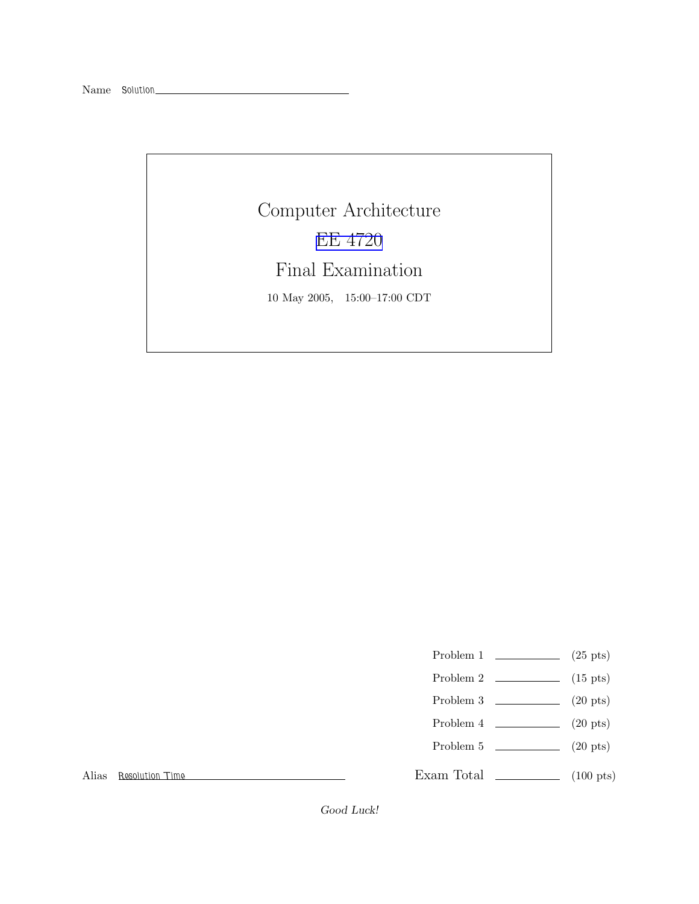Computer Architecture EE [4720](http://www.ece.lsu.edu/ee4720/) Final Examination 10 May 2005, 15:00–17:00 CDT

- Problem 1  $\qquad \qquad (25 \text{ pts})$
- Problem 2  $\qquad \qquad$  (15 pts)
- Problem 3  $\qquad \qquad (20 \text{ pts})$
- Problem 4  $\qquad \qquad$  (20 pts)
- Problem 5  $\sqrt{20 \text{ pts}}$

Exam Total \_\_\_\_\_\_\_\_\_\_\_\_\_ (100 pts)

Alias Resolution Time

Good Luck!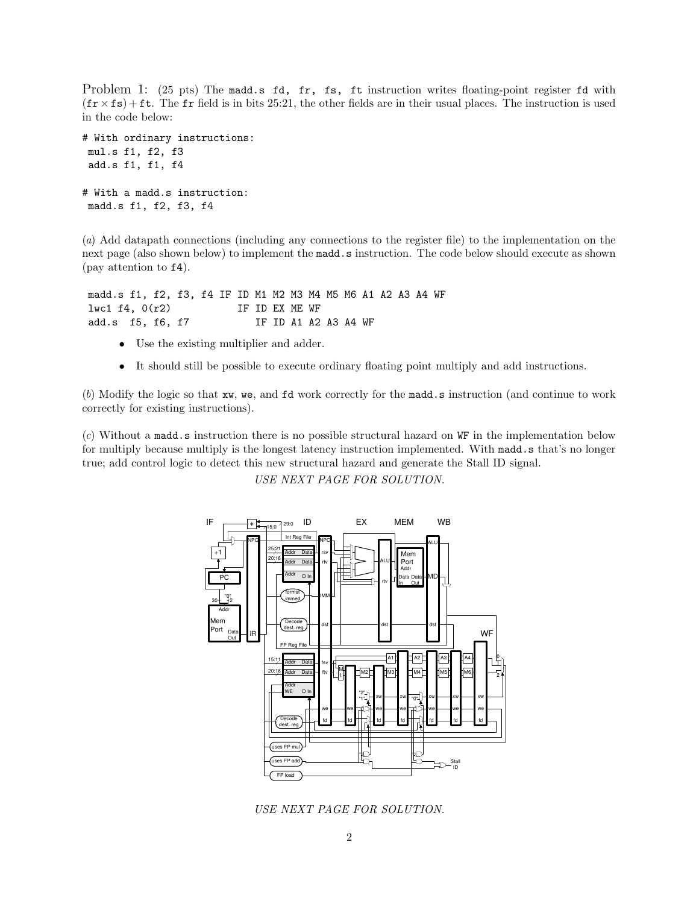Problem 1: (25 pts) The madd.s fd, fr, fs, ft instruction writes floating-point register fd with  $(\mathbf{fr} \times \mathbf{fs}) + \mathbf{ft}$ . The fr field is in bits 25:21, the other fields are in their usual places. The instruction is used in the code below:

```
# With ordinary instructions:
mul.s f1, f2, f3
add.s f1, f1, f4
# With a madd.s instruction:
madd.s f1, f2, f3, f4
```
(a) Add datapath connections (including any connections to the register file) to the implementation on the next page (also shown below) to implement the madd.s instruction. The code below should execute as shown (pay attention to f4).

madd.s f1, f2, f3, f4 IF ID M1 M2 M3 M4 M5 M6 A1 A2 A3 A4 WF lwc1 f4, 0(r2) IF ID EX ME WF add.s f5, f6, f7 IF ID A1 A2 A3 A4 WF

- Use the existing multiplier and adder.
- It should still be possible to execute ordinary floating point multiply and add instructions.

(b) Modify the logic so that xw, we, and fd work correctly for the madd.s instruction (and continue to work correctly for existing instructions).

(c) Without a madd.s instruction there is no possible structural hazard on WF in the implementation below for multiply because multiply is the longest latency instruction implemented. With madd.s that's no longer true; add control logic to detect this new structural hazard and generate the Stall ID signal.

USE NEXT PAGE FOR SOLUTION.



USE NEXT PAGE FOR SOLUTION.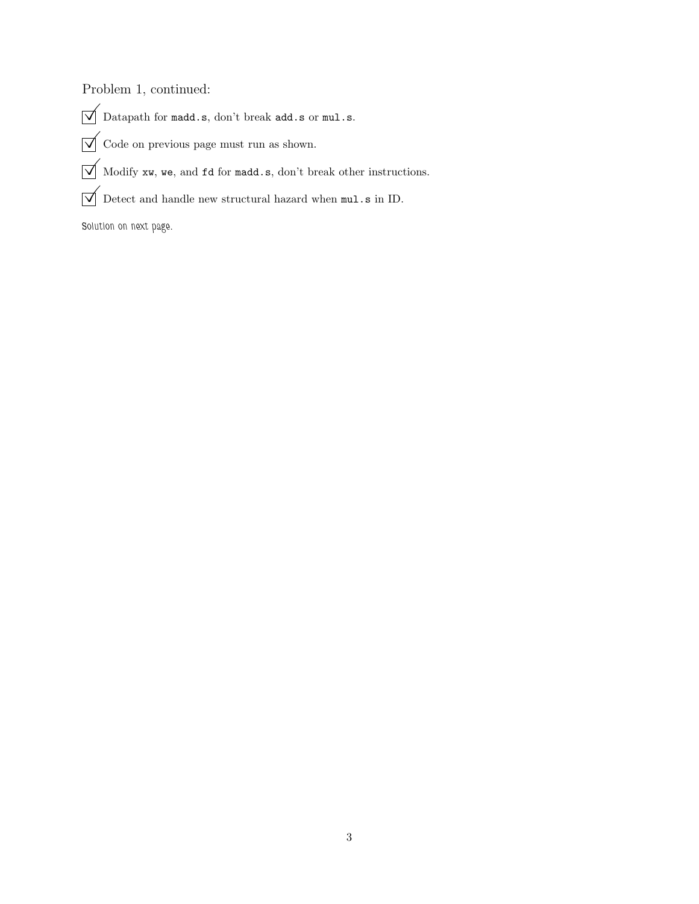Problem 1, continued:

- $\overline{\bigvee}$ Datapath for  $\texttt{madc.s.}$ don't break $\texttt{add.s}$  or  $\texttt{mul.s.}$
- $\sqrt{\phantom{a}}$  Code on previous page must run as shown.
- $\overline{\bigvee}$  Modify xw, we, and fd for madd.s, don't break other instructions.
- $\overline{\bigvee}$  Detect and handle new structural hazard when  $\verb|mul.s|$  in ID.

Solution on next page.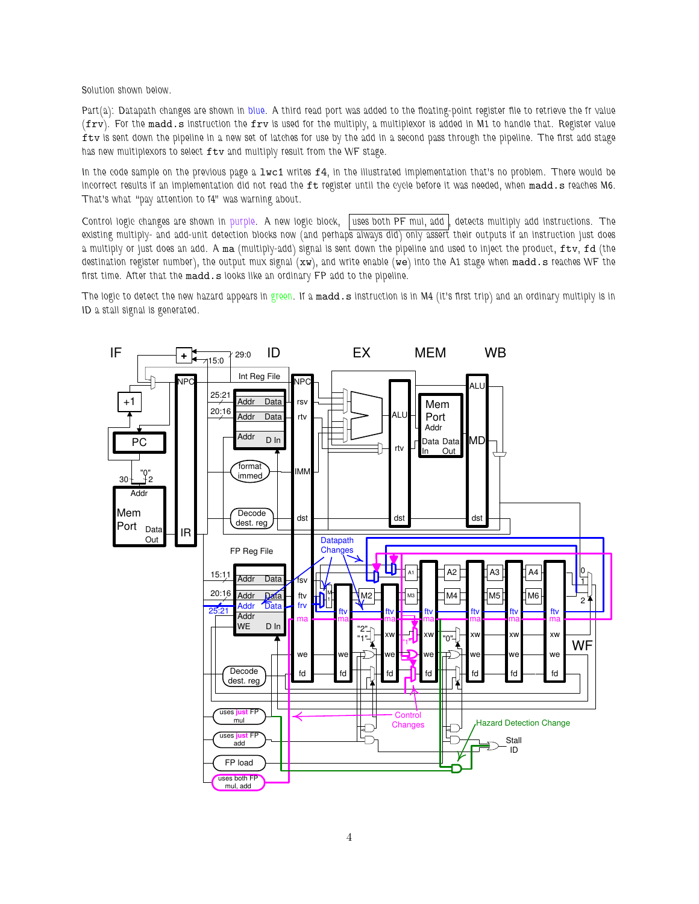Solution shown below.

Part(a): Datapath changes are shown in blue. A third read port was added to the floating-point register file to retrieve the fr value (frv). For the madd.s instruction the frv is used for the multiply, a multiplexor is added in M1 to handle that. Register value ftv is sent down the pipeline in a new set of latches for use by the add in a second pass through the pipeline. The first add stage has new multiplexors to select ftv and multiply result from the WF stage.

In the code sample on the previous page a lwc1 writes f4, in the illustrated implementation that's no problem. There would be incorrect results if an implementation did not read the ft register until the cycle before it was needed, when madd.s reaches M6. That's what "pay attention to f4" was warning about.

Control logic changes are shown in purple. A new logic block, uses both PF mul, add |, detects multiply add instructions. The existing multiply- and add-unit detection blocks now (and perhaps always did) only assert their outputs if an instruction just does a multiply or just does an add. A ma (multiply-add) signal is sent down the pipeline and used to inject the product, ftv, fd (the destination register number), the output mux signal (xw), and write enable (we) into the A1 stage when madd.s reaches WF the first time. After that the madd.s looks like an ordinary FP add to the pipeline.

The logic to detect the new hazard appears in green. If a madd.s instruction is in M4 (it's first trip) and an ordinary multiply is in ID a stall signal is generated.

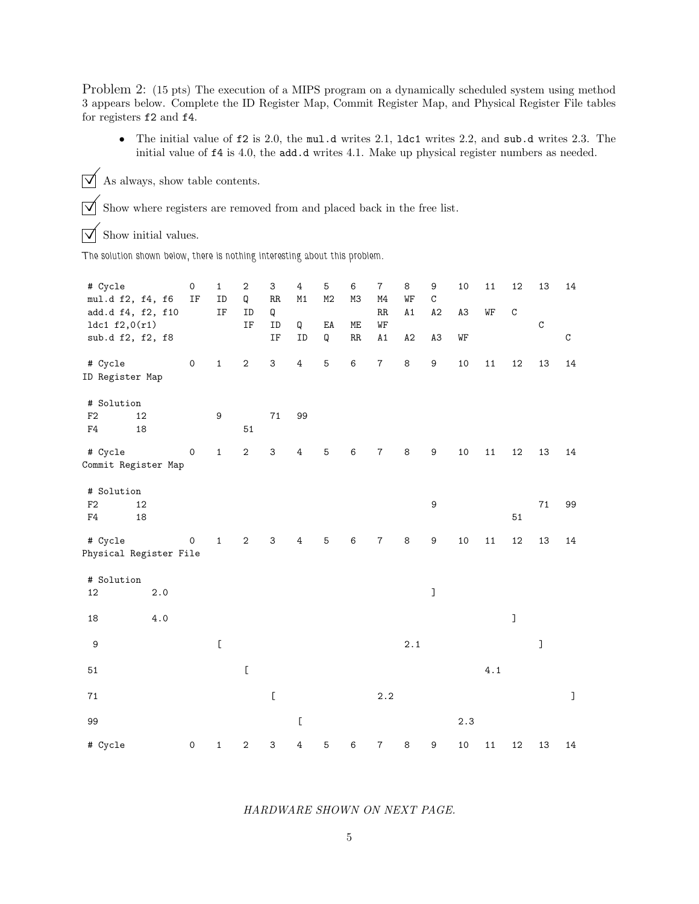Problem 2: (15 pts) The execution of a MIPS program on a dynamically scheduled system using method 3 appears below. Complete the ID Register Map, Commit Register Map, and Physical Register File tables for registers f2 and f4.

• The initial value of f2 is 2.0, the mul.d writes 2.1, ldc1 writes 2.2, and sub.d writes 2.3. The initial value of f4 is 4.0, the add.d writes 4.1. Make up physical register numbers as needed.

 $\boxed{\bigtriangledown}$  As always, show table contents.

 $\boxed{\bigvee}$  Show where registers are removed from and placed back in the free list.

 $\overrightarrow{\bigvee}$  Show initial values.

The solution shown below, there is nothing interesting about this problem.

| # Cycle<br>mul.d f2, f4, f6 |                   | $\mathsf{O}\xspace$<br>IF | $\mathbf 1$<br>ID                                                                                     | $\boldsymbol{2}$<br>Q                                                                                                                             | 3<br>RR                                                                                               | 4<br>M1                                                                                               | 5<br>M2                | 6<br>M3 | $\overline{7}$<br>M4 | 8<br>WF | 9<br>C           | 10             | 11  | 12          | 13           | 14           |
|-----------------------------|-------------------|---------------------------|-------------------------------------------------------------------------------------------------------|---------------------------------------------------------------------------------------------------------------------------------------------------|-------------------------------------------------------------------------------------------------------|-------------------------------------------------------------------------------------------------------|------------------------|---------|----------------------|---------|------------------|----------------|-----|-------------|--------------|--------------|
|                             | add.d f4, f2, f10 |                           | IF                                                                                                    | ID                                                                                                                                                | Q                                                                                                     |                                                                                                       |                        |         | RR                   | A1      | A2               | A <sub>3</sub> | WF  | $\mathbf C$ |              |              |
| 1dc1 f2,0(r1)               |                   |                           |                                                                                                       | IF                                                                                                                                                | ID                                                                                                    | Q                                                                                                     | $\mathop{\mathtt{EA}}$ | ME      | WF                   |         |                  |                |     |             | $\mathtt{C}$ |              |
| sub.d f2, f2, f8            |                   |                           |                                                                                                       |                                                                                                                                                   | IF                                                                                                    | ID                                                                                                    | Q                      | RR      | A1                   | A2      | A3               | WF             |     |             |              | $\mathtt{C}$ |
| # Cycle                     |                   | $\mathsf{O}\xspace$       | $\mathbf 1$                                                                                           | $\sqrt{2}$                                                                                                                                        | 3                                                                                                     | $\bf 4$                                                                                               | 5                      | 6       | $\overline{7}$       | $\bf 8$ | 9                | 10             | 11  | 12          | 13           | 14           |
| ID Register Map             |                   |                           |                                                                                                       |                                                                                                                                                   |                                                                                                       |                                                                                                       |                        |         |                      |         |                  |                |     |             |              |              |
| # Solution                  |                   |                           |                                                                                                       |                                                                                                                                                   |                                                                                                       |                                                                                                       |                        |         |                      |         |                  |                |     |             |              |              |
| F2                          | 12                |                           | 9                                                                                                     |                                                                                                                                                   | 71                                                                                                    | 99                                                                                                    |                        |         |                      |         |                  |                |     |             |              |              |
| F4                          | 18                |                           |                                                                                                       | 51                                                                                                                                                |                                                                                                       |                                                                                                       |                        |         |                      |         |                  |                |     |             |              |              |
| # Cycle                     |                   | 0                         | $\mathbf 1$                                                                                           | $\sqrt{2}$                                                                                                                                        | 3                                                                                                     | $\overline{4}$                                                                                        | 5                      | 6       | 7                    | 8       | 9                | 10             | 11  | 12          | 13           | 14           |
| Commit Register Map         |                   |                           |                                                                                                       |                                                                                                                                                   |                                                                                                       |                                                                                                       |                        |         |                      |         |                  |                |     |             |              |              |
| # Solution                  |                   |                           |                                                                                                       |                                                                                                                                                   |                                                                                                       |                                                                                                       |                        |         |                      |         |                  |                |     |             |              |              |
| F2                          | 12                |                           |                                                                                                       |                                                                                                                                                   |                                                                                                       |                                                                                                       |                        |         |                      |         | 9                |                |     |             | 71           | 99           |
| F4                          | 18                |                           |                                                                                                       |                                                                                                                                                   |                                                                                                       |                                                                                                       |                        |         |                      |         |                  |                |     | 51          |              |              |
| # Cycle                     |                   | $\pmb{0}$                 | $\mathbf{1}$                                                                                          | $\mathbf{2}$                                                                                                                                      | 3                                                                                                     | 4                                                                                                     | 5                      | 6       | $\overline{7}$       | 8       | 9                | 10             | 11  | 12          | 13           | 14           |
| Physical Register File      |                   |                           |                                                                                                       |                                                                                                                                                   |                                                                                                       |                                                                                                       |                        |         |                      |         |                  |                |     |             |              |              |
| # Solution                  |                   |                           |                                                                                                       |                                                                                                                                                   |                                                                                                       |                                                                                                       |                        |         |                      |         |                  |                |     |             |              |              |
| 12                          | 2.0               |                           |                                                                                                       |                                                                                                                                                   |                                                                                                       |                                                                                                       |                        |         |                      |         | J                |                |     |             |              |              |
| 18                          | 4.0               |                           |                                                                                                       |                                                                                                                                                   |                                                                                                       |                                                                                                       |                        |         |                      |         |                  |                |     | J           |              |              |
| $\boldsymbol{9}$            |                   |                           | $\mathsf{L}% _{0}\left( \mathcal{A}_{0}\right) ^{T}=\mathsf{L}_{0}\left( \mathcal{A}_{0}\right) ^{T}$ |                                                                                                                                                   |                                                                                                       |                                                                                                       |                        |         |                      | 2.1     |                  |                |     |             | J            |              |
|                             |                   |                           |                                                                                                       |                                                                                                                                                   |                                                                                                       |                                                                                                       |                        |         |                      |         |                  |                |     |             |              |              |
| 51                          |                   |                           |                                                                                                       | $\mathsf{L}% _{0}\left( \mathsf{L}_{0}\right) ^{T}\left( \mathsf{L}_{0}\right) ^{T}\left( \mathsf{L}_{0}\right) ^{T}\left( \mathsf{L}_{0}\right)$ |                                                                                                       |                                                                                                       |                        |         |                      |         |                  |                | 4.1 |             |              |              |
| 71                          |                   |                           |                                                                                                       |                                                                                                                                                   | $\mathsf{L}% _{0}\left( \mathcal{A}_{0}\right) ^{T}=\mathsf{L}_{0}\left( \mathcal{A}_{0}\right) ^{T}$ |                                                                                                       |                        |         | 2.2                  |         |                  |                |     |             |              | $\mathbf l$  |
| 99                          |                   |                           |                                                                                                       |                                                                                                                                                   |                                                                                                       | $\mathsf{L}% _{0}\left( \mathcal{A}_{0}\right) ^{T}=\mathsf{L}_{0}\left( \mathcal{A}_{0}\right) ^{T}$ |                        |         |                      |         |                  | 2.3            |     |             |              |              |
| # Cycle                     |                   | $\mathsf{O}\xspace$       | 1                                                                                                     | $\boldsymbol{2}$                                                                                                                                  | 3                                                                                                     | 4                                                                                                     | 5                      | 6       | 7                    | 8       | $\boldsymbol{9}$ | 10             | 11  | 12          | 13           | 14           |

## HARDWARE SHOWN ON NEXT PAGE.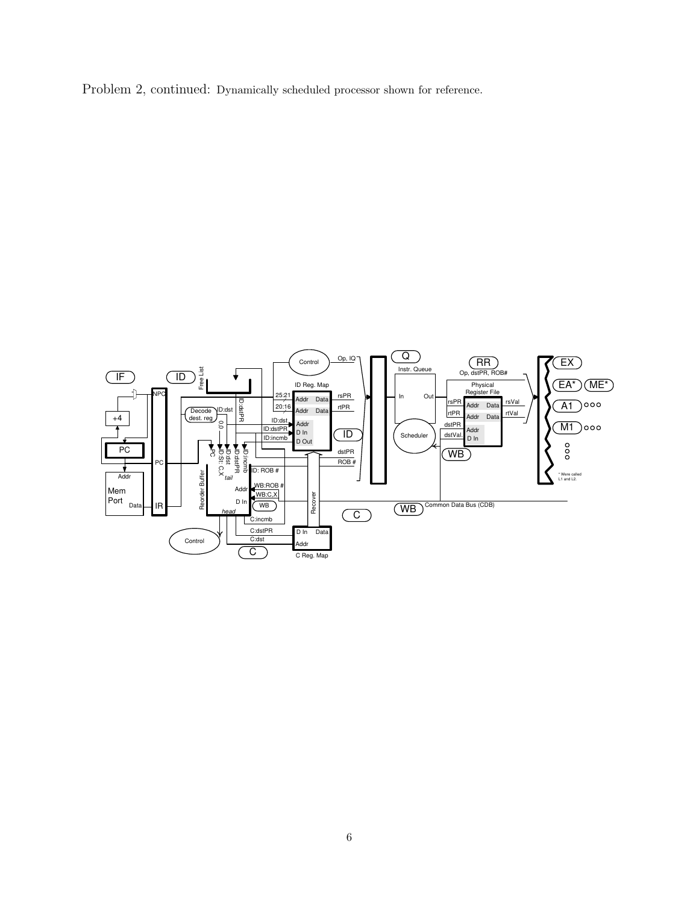Problem 2, continued: Dynamically scheduled processor shown for reference.

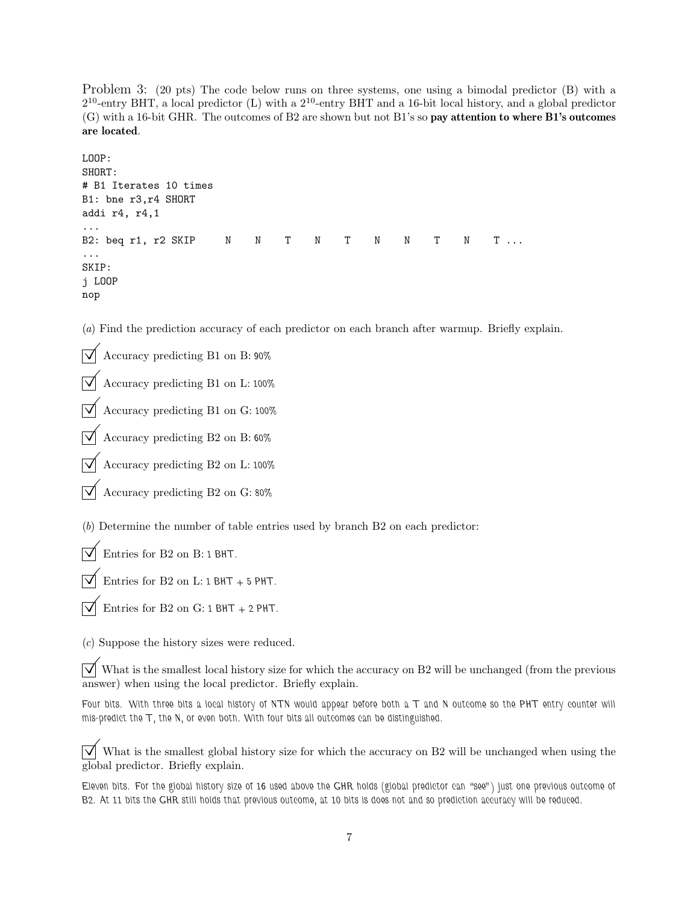Problem 3: (20 pts) The code below runs on three systems, one using a bimodal predictor (B) with a 2 <sup>10</sup>-entry BHT, a local predictor (L) with a 2 <sup>10</sup>-entry BHT and a 16-bit local history, and a global predictor (G) with a 16-bit GHR. The outcomes of B2 are shown but not B1's so pay attention to where B1's outcomes are located.

```
LOOP:
SHORT:
# B1 Iterates 10 times
B1: bne r3,r4 SHORT
addi r4, r4,1
...
B2: beq r1, r2 SKIP N N T N T N N T N T ...
...
SKIP:
j LOOP
nop
```
(a) Find the prediction accuracy of each predictor on each branch after warmup. Briefly explain.

 $\overrightarrow{\bigvee}$  Accuracy predicting B1 on B: 90%

© Accuracy predicting B1 on L: 100%

© Accuracy predicting B1 on G: 100%

 $\overrightarrow{\mathsf{V}}$  Accuracy predicting B2 on B: 60%

© Accuracy predicting B2 on L: 100%

 $\triangledown$  Accuracy predicting B2 on G: 80%

(b) Determine the number of table entries used by branch B2 on each predictor:

 $\overline{\vee}$  Entries for B2 on B: 1 BHT.

Entries for B2 on L:  $1$  BHT + 5 PHT.

Entries for B2 on G:  $1 BHT + 2 PHT$ .

(c) Suppose the history sizes were reduced.

 $\overrightarrow{v}$  What is the smallest local history size for which the accuracy on B2 will be unchanged (from the previous answer) when using the local predictor. Briefly explain.

Four bits. With three bits a local history of NTN would appear before both a T and N outcome so the PHT entry counter will mis-predict the T, the N, or even both. With four bits all outcomes can be distinguished.

 $\triangledown$  What is the smallest global history size for which the accuracy on B2 will be unchanged when using the global predictor. Briefly explain.

Eleven bits. For the global history size of 16 used above the GHR holds (global predictor can "see") just one previous outcome of B2. At 11 bits the GHR still holds that previous outcome, at 10 bits is does not and so prediction accuracy will be reduced.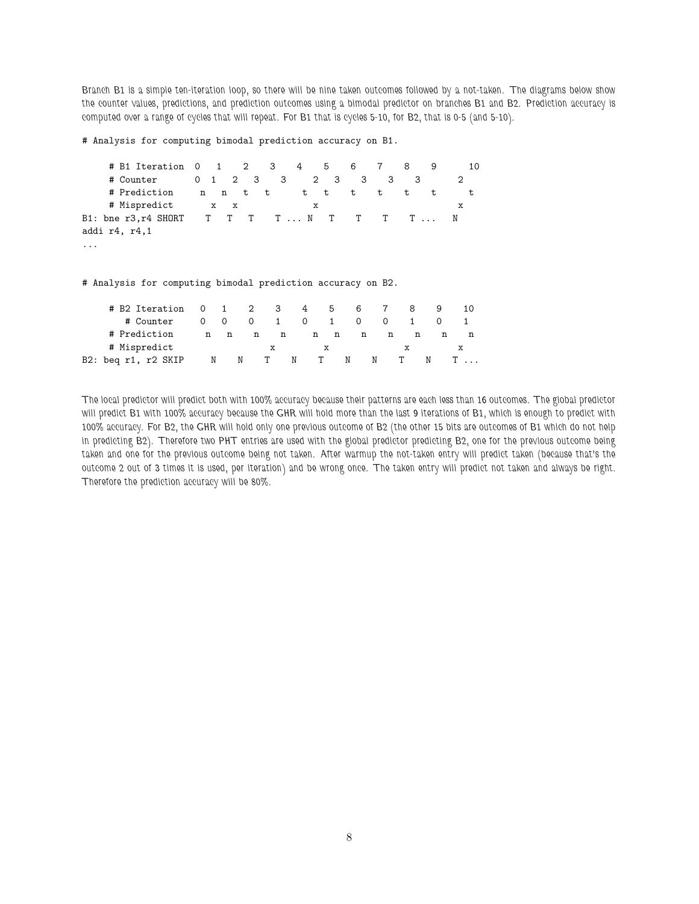Branch B1 is a simple ten-iteration loop, so there will be nine taken outcomes followed by a not-taken. The diagrams below show the counter values, predictions, and prediction outcomes using a bimodal predictor on branches B1 and B2. Prediction accuracy is computed over a range of cycles that will repeat. For B1 that is cycles 5-10, for B2, that is 0-5 (and 5-10).

# Analysis for computing bimodal prediction accuracy on B1.

```
# B1 Iteration 0 1 2 3 4 5 6 7 8 9 10
  # Counter 0 1 2 3 3 2 3 3 3 3 2
  # Prediction n n t t t t t t t t t
  # Mispredict x x x x
B1: bne r3,r4 SHORT T T T T ... N T T T T ... N
addi r4, r4,1
...
```
# Analysis for computing bimodal prediction accuracy on B2.

| # B2 Iteration 0    |   |   |          | 1 2 3 | 4        | . ხ | - 6 | 7        | 8 |  |
|---------------------|---|---|----------|-------|----------|-----|-----|----------|---|--|
| # Counter           |   |   | $\Omega$ |       | $\Omega$ | 1   |     | $\Omega$ |   |  |
| # Prediction        | n | n | n        | n     | n        | n   | n   | n        | n |  |
| # Mispredict        |   |   |          | x     |          |     |     |          |   |  |
| B2: beg r1, r2 SKIP | N | N |          |       | N        | N   |     | N        | N |  |

The local predictor will predict both with 100% accuracy because their patterns are each less than 16 outcomes. The global predictor will predict B1 with 100% accuracy because the GHR will hold more than the last 9 iterations of B1, which is enough to predict with 100% accuracy. For B2, the GHR will hold only one previous outcome of B2 (the other 15 bits are outcomes of B1 which do not help in predicting B2). Therefore two PHT entries are used with the global predictor predicting B2, one for the previous outcome being taken and one for the previous outcome being not taken. After warmup the not-taken entry will predict taken (because that's the outcome 2 out of 3 times it is used, per iteration) and be wrong once. The taken entry will predict not taken and always be right. Therefore the prediction accuracy will be 80%.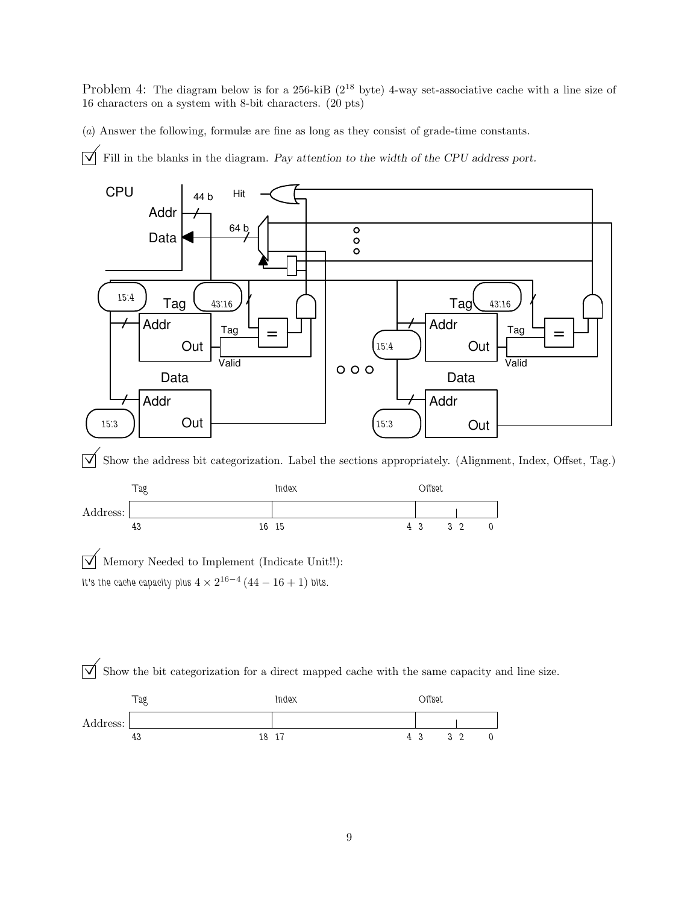Problem 4: The diagram below is for a 256-kiB ( $2^{18}$  byte) 4-way set-associative cache with a line size of 16 characters on a system with 8-bit characters. (20 pts)

(a) Answer the following, formulæ are fine as long as they consist of grade-time constants.

 $\overrightarrow{\mathcal{A}}$  Fill in the blanks in the diagram. Pay attention to the width of the CPU address port.





 $\boxed{\bigvee}$  Memory Needed to Implement (Indicate Unit!!): It's the cache capacity plus  $4\times 2^{16-4} \left(44-16+1\right)$  bits.

 $\overline{\vee}$  Show the bit categorization for a direct mapped cache with the same capacity and line size.

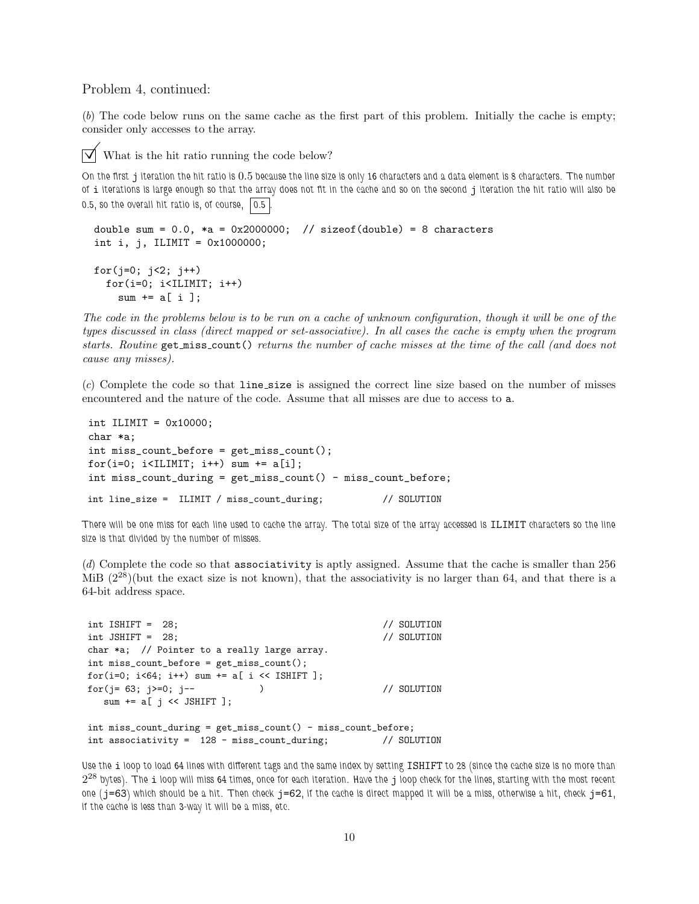Problem 4, continued:

(b) The code below runs on the same cache as the first part of this problem. Initially the cache is empty; consider only accesses to the array.

What is the hit ratio running the code below?

On the first j iteration the hit ratio is 0.5 because the line size is only 16 characters and a data element is 8 characters. The number of i iterations is large enough so that the array does not fit in the cache and so on the second j iteration the hit ratio will also be 0.5, so the overall hit ratio is, of course,  $\vert 0.5 \vert$ 

```
double sum = 0.0, *a = 0x2000000; // sizeof(double) = 8 characters
int i, j, ILIMIT = 0x1000000;
for(j=0; j<2; j++)for(i=0; i<IILIMIT; i++)sum += a[i];
```
The code in the problems below is to be run on a cache of unknown configuration, though it will be one of the types discussed in class (direct mapped or set-associative). In all cases the cache is empty when the program starts. Routine get miss count () returns the number of cache misses at the time of the call (and does not cause any misses).

(c) Complete the code so that line size is assigned the correct line size based on the number of misses encountered and the nature of the code. Assume that all misses are due to access to a.

```
int ILIMIT = 0x10000;
char *a;
int miss_count_before = get_miss_count();
for(i=0; i<ILIMIT; i++) sum += a[i];
int miss_count_during = get_miss_count() - miss_count_before;
int line_size = ILIMIT / miss_count_during; // SOLUTION
```
There will be one miss for each line used to cache the array. The total size of the array accessed is ILIMIT characters so the line size is that divided by the number of misses.

(d) Complete the code so that associativity is aptly assigned. Assume that the cache is smaller than 256 MiB  $(2^{28})$ (but the exact size is not known), that the associativity is no larger than 64, and that there is a 64-bit address space.

```
int ISHIFT = 28; // SOLUTION
int JSHIFT = 28; // SOLUTION
char *a; // Pointer to a really large array.
int miss_count_before = get_miss_count();
for(i=0; i<64; i++) sum += a[ i << ISHIFT ];
for(j = 63; j >= 0; j--) // SOLUTION
  sum += a[j \leq SHIFT];
int miss_count_during = get_miss_count() - miss_count_before;
int associativity = 128 - miss_count_during; // SOLUTION
```
Use the i loop to load 64 lines with different tags and the same index by setting ISHIFT to 28 (since the cache size is no more than  $2^{28}$  bytes). The  $\pm$  loop will miss 64 times, once for each iteration. Have the  $\bf{j}$  loop check for the lines, starting with the most recent one ( $j=63$ ) which should be a hit. Then check  $j=62$ , if the cache is direct mapped it will be a miss, otherwise a hit, check  $j=61$ , if the cache is less than 3-way it will be a miss, etc.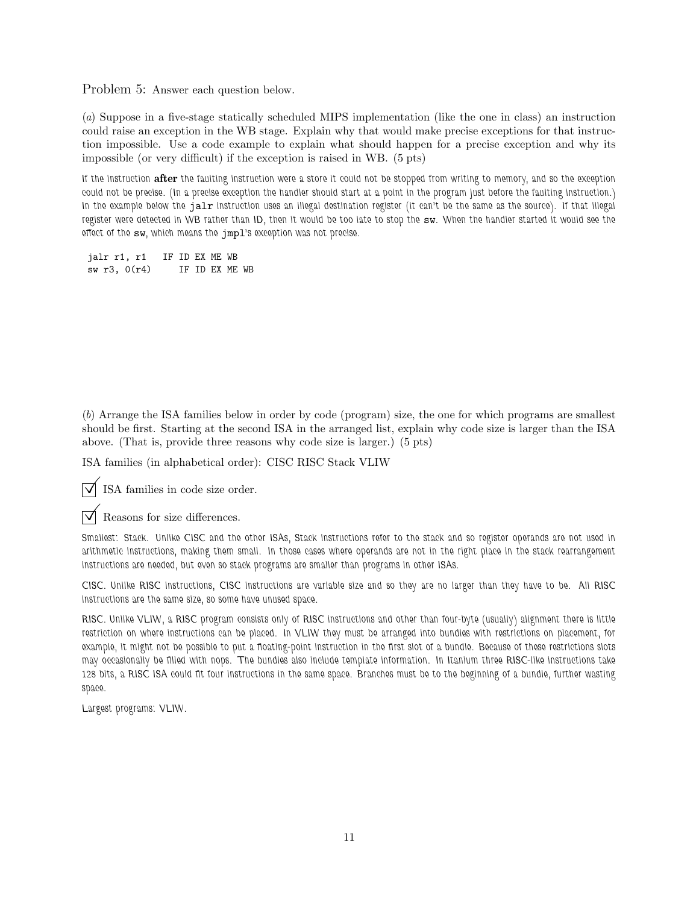Problem 5: Answer each question below.

(a) Suppose in a five-stage statically scheduled MIPS implementation (like the one in class) an instruction could raise an exception in the WB stage. Explain why that would make precise exceptions for that instruction impossible. Use a code example to explain what should happen for a precise exception and why its impossible (or very difficult) if the exception is raised in WB. (5 pts)

If the instruction after the faulting instruction were a store it could not be stopped from writing to memory, and so the exception could not be precise. (In a precise exception the handler should start at a point in the program just before the faulting instruction.) In the example below the jalr instruction uses an illegal destination register (it can't be the same as the source). If that illegal register were detected in WB rather than ID, then it would be too late to stop the sw. When the handler started it would see the effect of the sw, which means the jmpl's exception was not precise.

jalr r1, r1 IF ID EX ME WB sw r3, 0(r4) IF ID EX ME WB

(b) Arrange the ISA families below in order by code (program) size, the one for which programs are smallest should be first. Starting at the second ISA in the arranged list, explain why code size is larger than the ISA above. (That is, provide three reasons why code size is larger.) (5 pts)

ISA families (in alphabetical order): CISC RISC Stack VLIW

ISA families in code size order.

Reasons for size differences.

Smallest: Stack. Unlike CISC and the other ISAs, Stack instructions refer to the stack and so register operands are not used in arithmetic instructions, making them small. In those cases where operands are not in the right place in the stack rearrangement instructions are needed, but even so stack programs are smaller than programs in other ISAs.

CISC. Unlike RISC instructions, CISC instructions are variable size and so they are no larger than they have to be. All RISC instructions are the same size, so some have unused space.

RISC. Unlike VLIW, a RISC program consists only of RISC instructions and other than four-byte (usually) alignment there is little restriction on where instructions can be placed. In VLIW they must be arranged into bundles with restrictions on placement, for example, it might not be possible to put a floating-point instruction in the first slot of a bundle. Because of these restrictions slots may occasionally be filled with nops. The bundles also include template information. In Itanium three RISC-like instructions take 128 bits, a RISC ISA could fit four instructions in the same space. Branches must be to the beginning of a bundle, further wasting space.

Largest programs: VLIW.